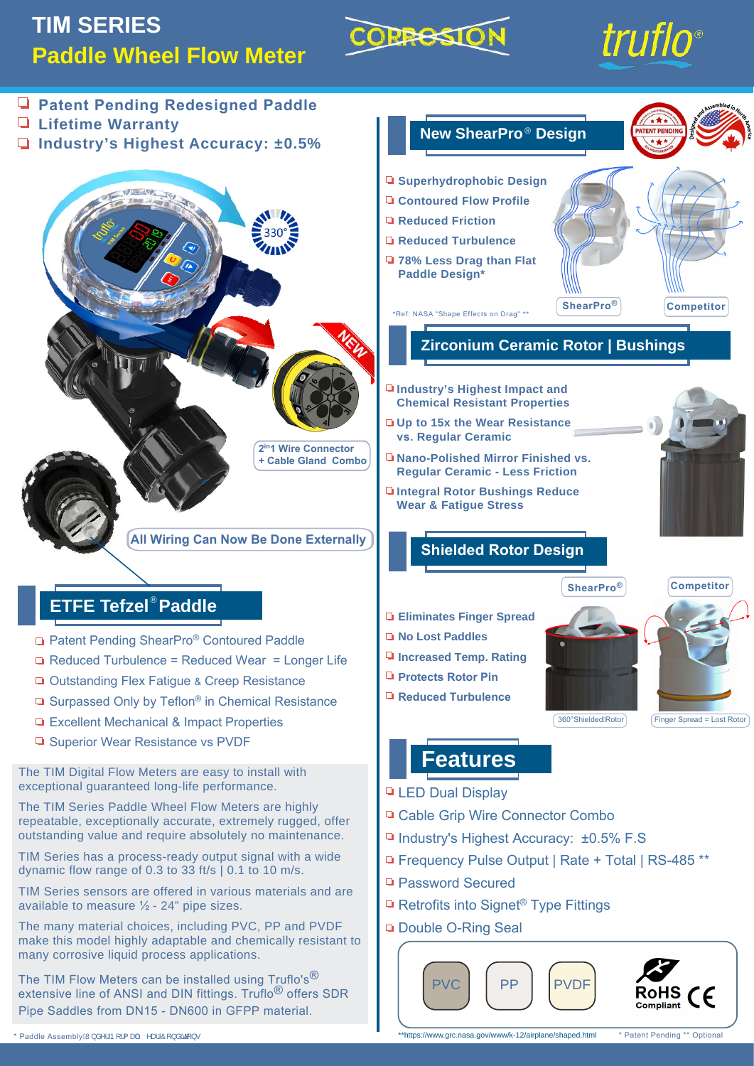## **TIM SERIES Paddle Wheel Flow Meter**

# COPRESIO





\* Patent Pending \*\* Optional